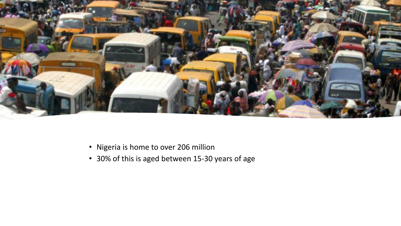

- Nigeria is home to over 206 million
- 30% of this is aged between 15-30 years of age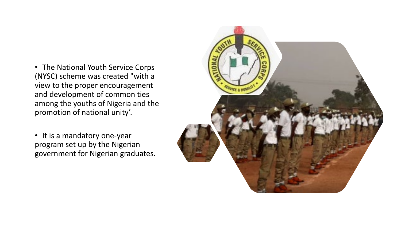• The National Youth Service Corps (NYSC) scheme was created "with a view to the proper encouragement and development of common ties among the youths of Nigeria and the promotion of national unity'.

• It is a mandatory one-year program set up by the Nigerian government for Nigerian graduates.

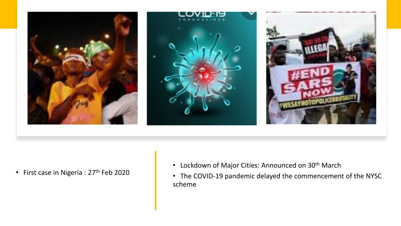

• First case in Nigeria : 27<sup>th</sup> Feb 2020

- Lockdown of Major Cities: Announced on 30<sup>th</sup> March
- The COVID-19 pandemic delayed the commencement of the NYSC scheme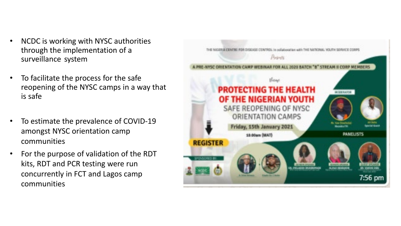- NCDC is working with NYSC authorities through the implementation of a surveillance system
- To facilitate the process for the safe reopening of the NYSC camps in a way that is safe
- To estimate the prevalence of COVID-19 amongst NYSC orientation camp communities
- For the purpose of validation of the RDT kits, RDT and PCR testing were run concurrently in FCT and Lagos camp communities

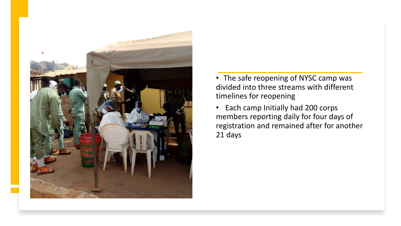

- The safe reopening of NYSC camp was divided into three streams with different timelines for reopening
- Each camp Initially had 200 corps members reporting daily for four days of registration and remained after for another 21 days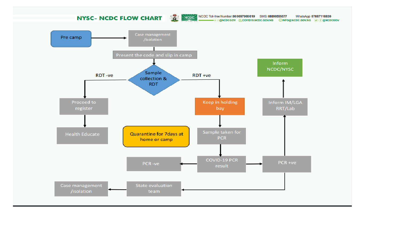**NYSC- NCDC FLOW CHART** 

NODE NC DC Toll-free Number:080097000010 SMS:08099555577 WhatsApp 07087110839 @NCDCGOV COVID19.NCDC.GOV.NG **OINFO@NCDC.GOV.NG O C**@NCDCGOV

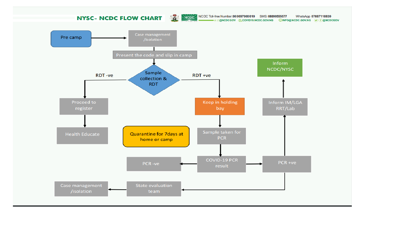**NYSC- NCDC FLOW CHART** 

NODE NC DC Toll-free Number:080097000010 SMS:08099555577 WhatsApp 07087110839 @NCDCGOV COVID19.NCDC.GOV.NG **OINFO@NCDC.GOV.NG O C**@NCDCGOV

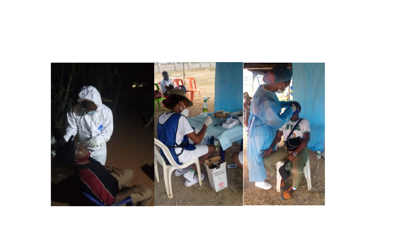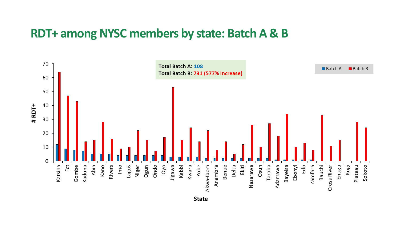## **RDT+ among NYSC members by state: Batch A & B**

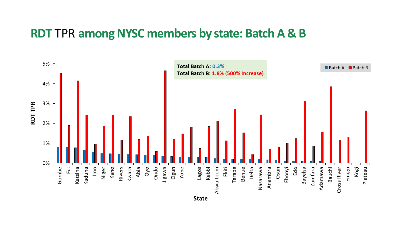## **RDT** TPR **among NYSC members by state: Batch A & B**

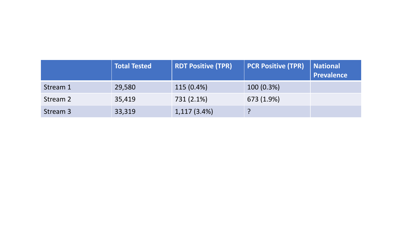|          | <b>Total Tested</b> | <b>RDT Positive (TPR)</b> | <b>PCR Positive (TPR)</b> | <b>National</b><br><b>Prevalence</b> |
|----------|---------------------|---------------------------|---------------------------|--------------------------------------|
| Stream 1 | 29,580              | $115(0.4\%)$              | $100(0.3\%)$              |                                      |
| Stream 2 | 35,419              | 731 (2.1%)                | 673 (1.9%)                |                                      |
| Stream 3 | 33,319              | $1,117(3.4\%)$            |                           |                                      |